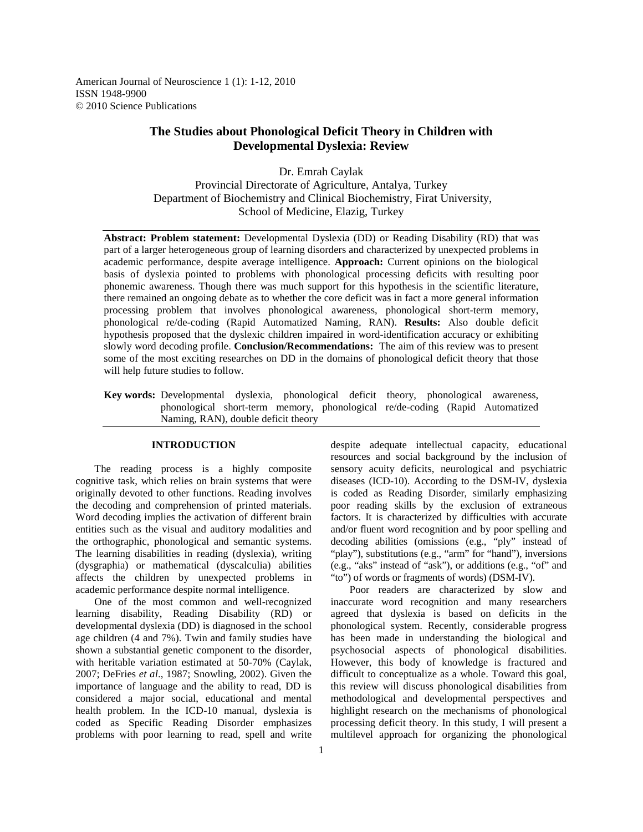American Journal of Neuroscience 1 (1): 1-12, 2010 ISSN 1948-9900 © 2010 Science Publications

# **The Studies about Phonological Deficit Theory in Children with Developmental Dyslexia: Review**

Dr. Emrah Caylak Provincial Directorate of Agriculture, Antalya, Turkey Department of Biochemistry and Clinical Biochemistry, Firat University, School of Medicine, Elazig, Turkey

**Abstract: Problem statement:** Developmental Dyslexia (DD) or Reading Disability (RD) that was part of a larger heterogeneous group of learning disorders and characterized by unexpected problems in academic performance, despite average intelligence. **Approach:** Current opinions on the biological basis of dyslexia pointed to problems with phonological processing deficits with resulting poor phonemic awareness. Though there was much support for this hypothesis in the scientific literature, there remained an ongoing debate as to whether the core deficit was in fact a more general information processing problem that involves phonological awareness, phonological short-term memory, phonological re/de-coding (Rapid Automatized Naming, RAN). **Results:** Also double deficit hypothesis proposed that the dyslexic children impaired in word-identification accuracy or exhibiting slowly word decoding profile. **Conclusion/Recommendations:** The aim of this review was to present some of the most exciting researches on DD in the domains of phonological deficit theory that those will help future studies to follow.

**Key words:** Developmental dyslexia, phonological deficit theory, phonological awareness, phonological short-term memory, phonological re/de-coding (Rapid Automatized Naming, RAN), double deficit theory

# **INTRODUCTION**

 The reading process is a highly composite cognitive task, which relies on brain systems that were originally devoted to other functions. Reading involves the decoding and comprehension of printed materials. Word decoding implies the activation of different brain entities such as the visual and auditory modalities and the orthographic, phonological and semantic systems. The learning disabilities in reading (dyslexia), writing (dysgraphia) or mathematical (dyscalculia) abilities affects the children by unexpected problems in academic performance despite normal intelligence.

 One of the most common and well-recognized learning disability, Reading Disability (RD) or developmental dyslexia (DD) is diagnosed in the school age children (4 and 7%). Twin and family studies have shown a substantial genetic component to the disorder, with heritable variation estimated at 50-70% (Caylak, 2007; DeFries *et al*., 1987; Snowling, 2002). Given the importance of language and the ability to read, DD is considered a major social, educational and mental health problem. In the ICD-10 manual, dyslexia is coded as Specific Reading Disorder emphasizes problems with poor learning to read, spell and write

despite adequate intellectual capacity, educational resources and social background by the inclusion of sensory acuity deficits, neurological and psychiatric diseases (ICD-10). According to the DSM-IV, dyslexia is coded as Reading Disorder, similarly emphasizing poor reading skills by the exclusion of extraneous factors. It is characterized by difficulties with accurate and/or fluent word recognition and by poor spelling and decoding abilities (omissions (e.g., "ply" instead of "play"), substitutions (e.g., "arm" for "hand"), inversions (e.g., "aks" instead of "ask"), or additions (e.g., "of" and "to") of words or fragments of words) (DSM-IV).

 Poor readers are characterized by slow and inaccurate word recognition and many researchers agreed that dyslexia is based on deficits in the phonological system. Recently, considerable progress has been made in understanding the biological and psychosocial aspects of phonological disabilities. However, this body of knowledge is fractured and difficult to conceptualize as a whole. Toward this goal, this review will discuss phonological disabilities from methodological and developmental perspectives and highlight research on the mechanisms of phonological processing deficit theory. In this study, I will present a multilevel approach for organizing the phonological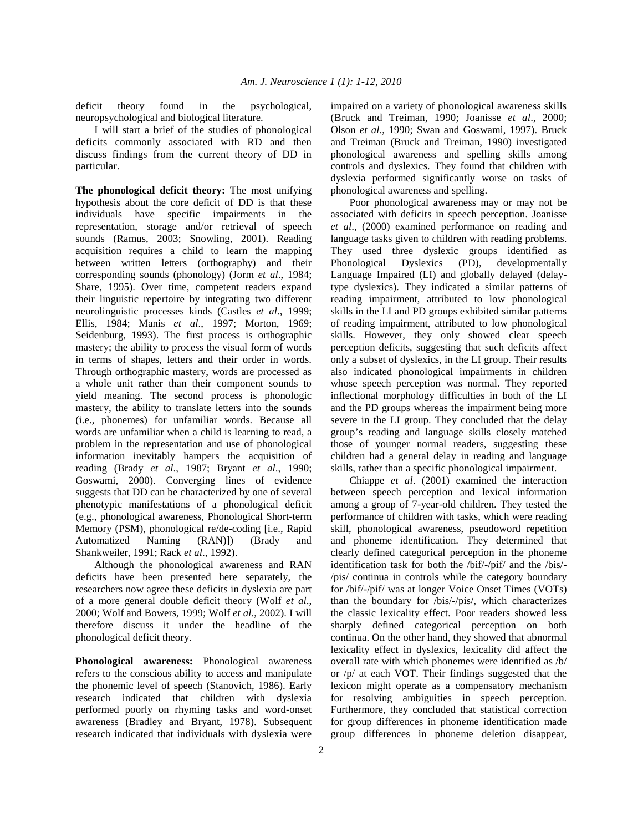deficit theory found in the psychological, neuropsychological and biological literature.

 I will start a brief of the studies of phonological deficits commonly associated with RD and then discuss findings from the current theory of DD in particular.

**The phonological deficit theory:** The most unifying hypothesis about the core deficit of DD is that these individuals have specific impairments in the representation, storage and/or retrieval of speech sounds (Ramus, 2003; Snowling, 2001). Reading acquisition requires a child to learn the mapping between written letters (orthography) and their corresponding sounds (phonology) (Jorm *et al*., 1984; Share, 1995). Over time, competent readers expand their linguistic repertoire by integrating two different neurolinguistic processes kinds (Castles *et al*., 1999; Ellis, 1984; Manis *et al*., 1997; Morton, 1969; Seidenburg, 1993). The first process is orthographic mastery; the ability to process the visual form of words in terms of shapes, letters and their order in words. Through orthographic mastery, words are processed as a whole unit rather than their component sounds to yield meaning. The second process is phonologic mastery, the ability to translate letters into the sounds (i.e., phonemes) for unfamiliar words. Because all words are unfamiliar when a child is learning to read, a problem in the representation and use of phonological information inevitably hampers the acquisition of reading (Brady *et al*., 1987; Bryant *et al*., 1990; Goswami, 2000). Converging lines of evidence suggests that DD can be characterized by one of several phenotypic manifestations of a phonological deficit (e.g., phonological awareness, Phonological Short-term Memory (PSM), phonological re/de-coding [i.e., Rapid Automatized Naming (RAN)]) (Brady and Shankweiler, 1991; Rack *et al*., 1992).

 Although the phonological awareness and RAN deficits have been presented here separately, the researchers now agree these deficits in dyslexia are part of a more general double deficit theory (Wolf *et al*., 2000; Wolf and Bowers, 1999; Wolf *et al*., 2002). I will therefore discuss it under the headline of the phonological deficit theory.

**Phonological awareness:** Phonological awareness refers to the conscious ability to access and manipulate the phonemic level of speech (Stanovich, 1986). Early research indicated that children with dyslexia performed poorly on rhyming tasks and word-onset awareness (Bradley and Bryant, 1978). Subsequent research indicated that individuals with dyslexia were

impaired on a variety of phonological awareness skills (Bruck and Treiman, 1990; Joanisse *et al*., 2000; Olson *et al*., 1990; Swan and Goswami, 1997). Bruck and Treiman (Bruck and Treiman, 1990) investigated phonological awareness and spelling skills among controls and dyslexics. They found that children with dyslexia performed significantly worse on tasks of phonological awareness and spelling.

 Poor phonological awareness may or may not be associated with deficits in speech perception. Joanisse *et al*., (2000) examined performance on reading and language tasks given to children with reading problems. They used three dyslexic groups identified as Phonological Dyslexics (PD), developmentally Language Impaired (LI) and globally delayed (delaytype dyslexics). They indicated a similar patterns of reading impairment, attributed to low phonological skills in the LI and PD groups exhibited similar patterns of reading impairment, attributed to low phonological skills. However, they only showed clear speech perception deficits, suggesting that such deficits affect only a subset of dyslexics, in the LI group. Their results also indicated phonological impairments in children whose speech perception was normal. They reported inflectional morphology difficulties in both of the LI and the PD groups whereas the impairment being more severe in the LI group. They concluded that the delay group's reading and language skills closely matched those of younger normal readers, suggesting these children had a general delay in reading and language skills, rather than a specific phonological impairment.

 Chiappe *et al*. (2001) examined the interaction between speech perception and lexical information among a group of 7-year-old children. They tested the performance of children with tasks, which were reading skill, phonological awareness, pseudoword repetition and phoneme identification. They determined that clearly defined categorical perception in the phoneme identification task for both the /bif/-/pif/ and the /bis/- /pis/ continua in controls while the category boundary for /bif/-/pif/ was at longer Voice Onset Times (VOTs) than the boundary for /bis/-/pis/, which characterizes the classic lexicality effect. Poor readers showed less sharply defined categorical perception on both continua. On the other hand, they showed that abnormal lexicality effect in dyslexics, lexicality did affect the overall rate with which phonemes were identified as /b/ or /p/ at each VOT. Their findings suggested that the lexicon might operate as a compensatory mechanism for resolving ambiguities in speech perception. Furthermore, they concluded that statistical correction for group differences in phoneme identification made group differences in phoneme deletion disappear,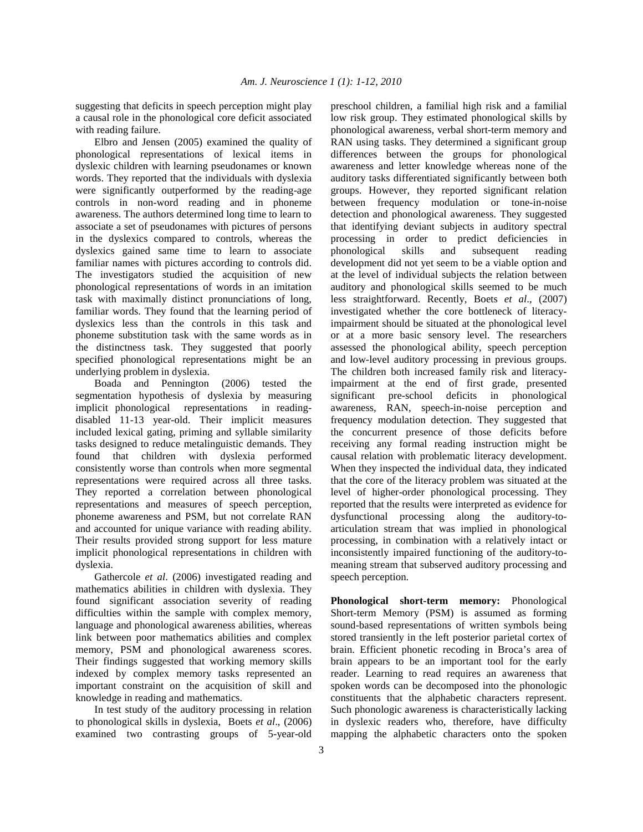suggesting that deficits in speech perception might play a causal role in the phonological core deficit associated with reading failure.

 Elbro and Jensen (2005) examined the quality of phonological representations of lexical items in dyslexic children with learning pseudonames or known words. They reported that the individuals with dyslexia were significantly outperformed by the reading-age controls in non-word reading and in phoneme awareness. The authors determined long time to learn to associate a set of pseudonames with pictures of persons in the dyslexics compared to controls, whereas the dyslexics gained same time to learn to associate familiar names with pictures according to controls did. The investigators studied the acquisition of new phonological representations of words in an imitation task with maximally distinct pronunciations of long, familiar words. They found that the learning period of dyslexics less than the controls in this task and phoneme substitution task with the same words as in the distinctness task. They suggested that poorly specified phonological representations might be an underlying problem in dyslexia.

 Boada and Pennington (2006) tested the segmentation hypothesis of dyslexia by measuring implicit phonological representations in readingdisabled 11-13 year-old. Their implicit measures included lexical gating, priming and syllable similarity tasks designed to reduce metalinguistic demands. They found that children with dyslexia performed consistently worse than controls when more segmental representations were required across all three tasks. They reported a correlation between phonological representations and measures of speech perception, phoneme awareness and PSM, but not correlate RAN and accounted for unique variance with reading ability. Their results provided strong support for less mature implicit phonological representations in children with dyslexia.

 Gathercole *et al*. (2006) investigated reading and mathematics abilities in children with dyslexia. They found significant association severity of reading difficulties within the sample with complex memory, language and phonological awareness abilities, whereas link between poor mathematics abilities and complex memory, PSM and phonological awareness scores. Their findings suggested that working memory skills indexed by complex memory tasks represented an important constraint on the acquisition of skill and knowledge in reading and mathematics.

 In test study of the auditory processing in relation to phonological skills in dyslexia, Boets *et al*., (2006) examined two contrasting groups of 5-year-old

preschool children, a familial high risk and a familial low risk group. They estimated phonological skills by phonological awareness, verbal short-term memory and RAN using tasks. They determined a significant group differences between the groups for phonological awareness and letter knowledge whereas none of the auditory tasks differentiated significantly between both groups. However, they reported significant relation between frequency modulation or tone-in-noise detection and phonological awareness. They suggested that identifying deviant subjects in auditory spectral processing in order to predict deficiencies in phonological skills and subsequent reading development did not yet seem to be a viable option and at the level of individual subjects the relation between auditory and phonological skills seemed to be much less straightforward. Recently, Boets *et al*., (2007) investigated whether the core bottleneck of literacyimpairment should be situated at the phonological level or at a more basic sensory level. The researchers assessed the phonological ability, speech perception and low-level auditory processing in previous groups. The children both increased family risk and literacyimpairment at the end of first grade, presented significant pre-school deficits in phonological awareness, RAN, speech-in-noise perception and frequency modulation detection. They suggested that the concurrent presence of those deficits before receiving any formal reading instruction might be causal relation with problematic literacy development. When they inspected the individual data, they indicated that the core of the literacy problem was situated at the level of higher-order phonological processing. They reported that the results were interpreted as evidence for dysfunctional processing along the auditory-toarticulation stream that was implied in phonological processing, in combination with a relatively intact or inconsistently impaired functioning of the auditory-tomeaning stream that subserved auditory processing and speech perception.

**Phonological short-term memory:** Phonological Short-term Memory (PSM) is assumed as forming sound-based representations of written symbols being stored transiently in the left posterior parietal cortex of brain. Efficient phonetic recoding in Broca's area of brain appears to be an important tool for the early reader. Learning to read requires an awareness that spoken words can be decomposed into the phonologic constituents that the alphabetic characters represent. Such phonologic awareness is characteristically lacking in dyslexic readers who, therefore, have difficulty mapping the alphabetic characters onto the spoken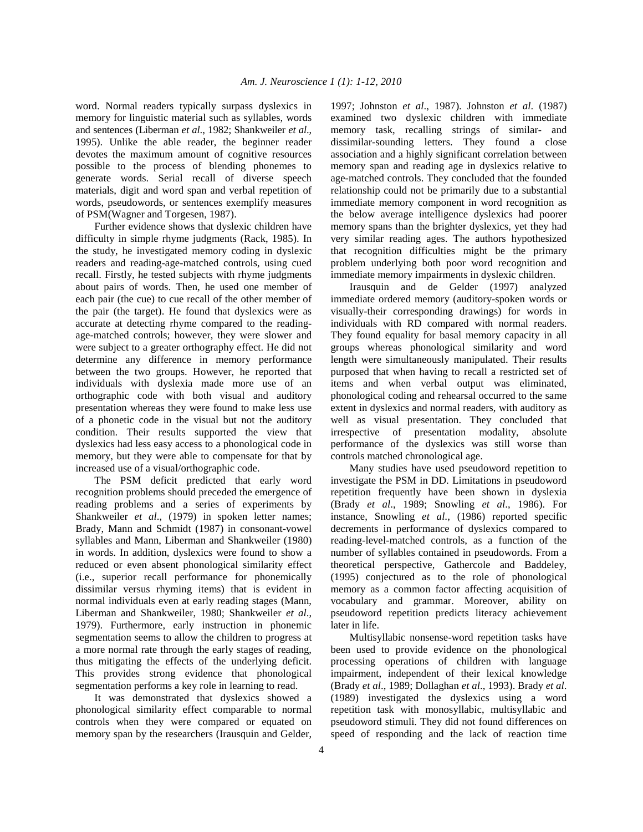word. Normal readers typically surpass dyslexics in memory for linguistic material such as syllables, words and sentences (Liberman *et al*., 1982; Shankweiler *et al*., 1995). Unlike the able reader, the beginner reader devotes the maximum amount of cognitive resources possible to the process of blending phonemes to generate words. Serial recall of diverse speech materials, digit and word span and verbal repetition of words, pseudowords, or sentences exemplify measures of PSM(Wagner and Torgesen, 1987).

 Further evidence shows that dyslexic children have difficulty in simple rhyme judgments (Rack, 1985). In the study, he investigated memory coding in dyslexic readers and reading-age-matched controls, using cued recall. Firstly, he tested subjects with rhyme judgments about pairs of words. Then, he used one member of each pair (the cue) to cue recall of the other member of the pair (the target). He found that dyslexics were as accurate at detecting rhyme compared to the readingage-matched controls; however, they were slower and were subject to a greater orthography effect. He did not determine any difference in memory performance between the two groups. However, he reported that individuals with dyslexia made more use of an orthographic code with both visual and auditory presentation whereas they were found to make less use of a phonetic code in the visual but not the auditory condition. Their results supported the view that dyslexics had less easy access to a phonological code in memory, but they were able to compensate for that by increased use of a visual/orthographic code.

 The PSM deficit predicted that early word recognition problems should preceded the emergence of reading problems and a series of experiments by Shankweiler *et al.*, (1979) in spoken letter names; Brady, Mann and Schmidt (1987) in consonant-vowel syllables and Mann, Liberman and Shankweiler (1980) in words. In addition, dyslexics were found to show a reduced or even absent phonological similarity effect (i.e., superior recall performance for phonemically dissimilar versus rhyming items) that is evident in normal individuals even at early reading stages (Mann, Liberman and Shankweiler, 1980; Shankweiler *et al*., 1979). Furthermore, early instruction in phonemic segmentation seems to allow the children to progress at a more normal rate through the early stages of reading, thus mitigating the effects of the underlying deficit. This provides strong evidence that phonological segmentation performs a key role in learning to read.

 It was demonstrated that dyslexics showed a phonological similarity effect comparable to normal controls when they were compared or equated on memory span by the researchers (Irausquin and Gelder, 1997; Johnston *et al*., 1987). Johnston *et al*. (1987) examined two dyslexic children with immediate memory task, recalling strings of similar- and dissimilar-sounding letters. They found a close association and a highly significant correlation between memory span and reading age in dyslexics relative to age-matched controls. They concluded that the founded relationship could not be primarily due to a substantial immediate memory component in word recognition as the below average intelligence dyslexics had poorer memory spans than the brighter dyslexics, yet they had very similar reading ages. The authors hypothesized that recognition difficulties might be the primary problem underlying both poor word recognition and immediate memory impairments in dyslexic children.

 Irausquin and de Gelder (1997) analyzed immediate ordered memory (auditory-spoken words or visually-their corresponding drawings) for words in individuals with RD compared with normal readers. They found equality for basal memory capacity in all groups whereas phonological similarity and word length were simultaneously manipulated. Their results purposed that when having to recall a restricted set of items and when verbal output was eliminated, phonological coding and rehearsal occurred to the same extent in dyslexics and normal readers, with auditory as well as visual presentation. They concluded that irrespective of presentation modality, absolute performance of the dyslexics was still worse than controls matched chronological age.

 Many studies have used pseudoword repetition to investigate the PSM in DD. Limitations in pseudoword repetition frequently have been shown in dyslexia (Brady *et al*., 1989; Snowling *et al*., 1986). For instance, Snowling *et al*., (1986) reported specific decrements in performance of dyslexics compared to reading-level-matched controls, as a function of the number of syllables contained in pseudowords. From a theoretical perspective, Gathercole and Baddeley, (1995) conjectured as to the role of phonological memory as a common factor affecting acquisition of vocabulary and grammar. Moreover, ability on pseudoword repetition predicts literacy achievement later in life.

 Multisyllabic nonsense-word repetition tasks have been used to provide evidence on the phonological processing operations of children with language impairment, independent of their lexical knowledge (Brady *et al*., 1989; Dollaghan *et al*., 1993). Brady *et al*. (1989) investigated the dyslexics using a word repetition task with monosyllabic, multisyllabic and pseudoword stimuli. They did not found differences on speed of responding and the lack of reaction time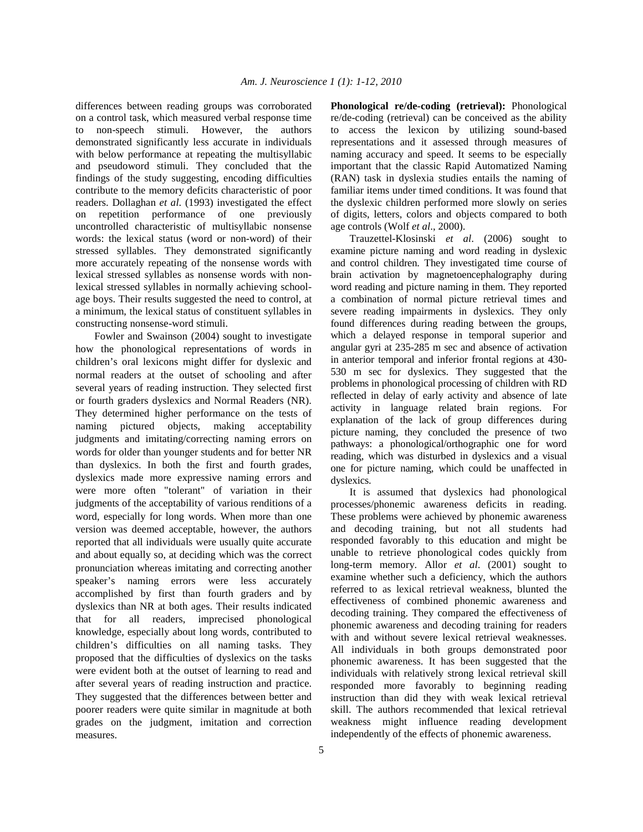differences between reading groups was corroborated on a control task, which measured verbal response time to non-speech stimuli. However, the authors demonstrated significantly less accurate in individuals with below performance at repeating the multisyllabic and pseudoword stimuli. They concluded that the findings of the study suggesting, encoding difficulties contribute to the memory deficits characteristic of poor readers. Dollaghan *et al*. (1993) investigated the effect on repetition performance of one previously uncontrolled characteristic of multisyllabic nonsense words: the lexical status (word or non-word) of their stressed syllables. They demonstrated significantly more accurately repeating of the nonsense words with lexical stressed syllables as nonsense words with nonlexical stressed syllables in normally achieving schoolage boys. Their results suggested the need to control, at a minimum, the lexical status of constituent syllables in constructing nonsense-word stimuli.

 Fowler and Swainson (2004) sought to investigate how the phonological representations of words in children's oral lexicons might differ for dyslexic and normal readers at the outset of schooling and after several years of reading instruction. They selected first or fourth graders dyslexics and Normal Readers (NR). They determined higher performance on the tests of naming pictured objects, making acceptability judgments and imitating/correcting naming errors on words for older than younger students and for better NR than dyslexics. In both the first and fourth grades, dyslexics made more expressive naming errors and were more often "tolerant" of variation in their judgments of the acceptability of various renditions of a word, especially for long words. When more than one version was deemed acceptable, however, the authors reported that all individuals were usually quite accurate and about equally so, at deciding which was the correct pronunciation whereas imitating and correcting another speaker's naming errors were less accurately accomplished by first than fourth graders and by dyslexics than NR at both ages. Their results indicated that for all readers, imprecised phonological knowledge, especially about long words, contributed to children's difficulties on all naming tasks. They proposed that the difficulties of dyslexics on the tasks were evident both at the outset of learning to read and after several years of reading instruction and practice. They suggested that the differences between better and poorer readers were quite similar in magnitude at both grades on the judgment, imitation and correction measures.

**Phonological re/de-coding (retrieval):** Phonological re/de-coding (retrieval) can be conceived as the ability to access the lexicon by utilizing sound-based representations and it assessed through measures of naming accuracy and speed. It seems to be especially important that the classic Rapid Automatized Naming (RAN) task in dyslexia studies entails the naming of familiar items under timed conditions. It was found that the dyslexic children performed more slowly on series of digits, letters, colors and objects compared to both age controls (Wolf *et al*., 2000).

 Trauzettel-Klosinski *et al*. (2006) sought to examine picture naming and word reading in dyslexic and control children. They investigated time course of brain activation by magnetoencephalography during word reading and picture naming in them. They reported a combination of normal picture retrieval times and severe reading impairments in dyslexics. They only found differences during reading between the groups, which a delayed response in temporal superior and angular gyri at 235-285 m sec and absence of activation in anterior temporal and inferior frontal regions at 430- 530 m sec for dyslexics. They suggested that the problems in phonological processing of children with RD reflected in delay of early activity and absence of late activity in language related brain regions. For explanation of the lack of group differences during picture naming, they concluded the presence of two pathways: a phonological/orthographic one for word reading, which was disturbed in dyslexics and a visual one for picture naming, which could be unaffected in dyslexics.

 It is assumed that dyslexics had phonological processes/phonemic awareness deficits in reading. These problems were achieved by phonemic awareness and decoding training, but not all students had responded favorably to this education and might be unable to retrieve phonological codes quickly from long-term memory. Allor *et al*. (2001) sought to examine whether such a deficiency, which the authors referred to as lexical retrieval weakness, blunted the effectiveness of combined phonemic awareness and decoding training. They compared the effectiveness of phonemic awareness and decoding training for readers with and without severe lexical retrieval weaknesses. All individuals in both groups demonstrated poor phonemic awareness. It has been suggested that the individuals with relatively strong lexical retrieval skill responded more favorably to beginning reading instruction than did they with weak lexical retrieval skill. The authors recommended that lexical retrieval weakness might influence reading development independently of the effects of phonemic awareness.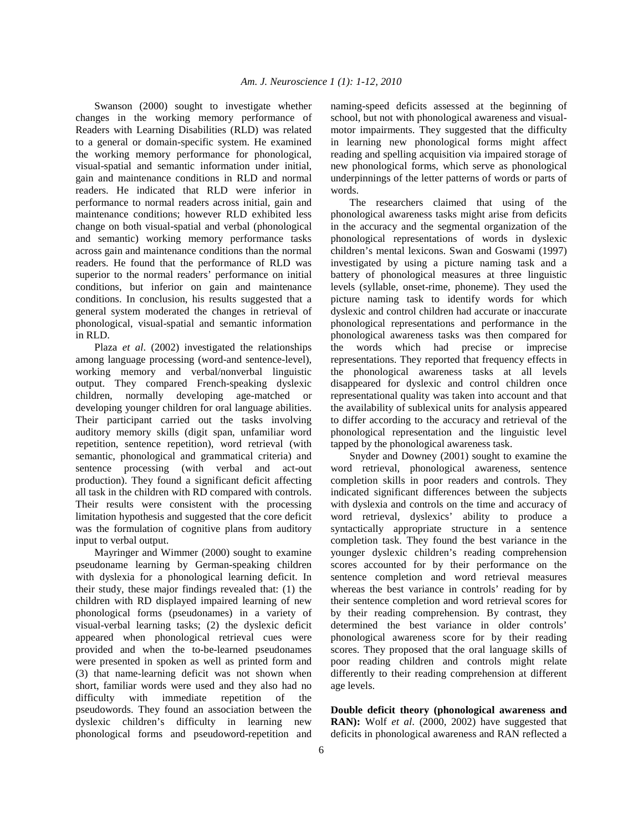Swanson (2000) sought to investigate whether changes in the working memory performance of Readers with Learning Disabilities (RLD) was related to a general or domain-specific system. He examined the working memory performance for phonological, visual-spatial and semantic information under initial, gain and maintenance conditions in RLD and normal readers. He indicated that RLD were inferior in performance to normal readers across initial, gain and maintenance conditions; however RLD exhibited less change on both visual-spatial and verbal (phonological and semantic) working memory performance tasks across gain and maintenance conditions than the normal readers. He found that the performance of RLD was superior to the normal readers' performance on initial conditions, but inferior on gain and maintenance conditions. In conclusion, his results suggested that a general system moderated the changes in retrieval of phonological, visual-spatial and semantic information in RLD.

 Plaza *et al*. (2002) investigated the relationships among language processing (word-and sentence-level), working memory and verbal/nonverbal linguistic output. They compared French-speaking dyslexic children, normally developing age-matched or developing younger children for oral language abilities. Their participant carried out the tasks involving auditory memory skills (digit span, unfamiliar word repetition, sentence repetition), word retrieval (with semantic, phonological and grammatical criteria) and sentence processing (with verbal and act-out production). They found a significant deficit affecting all task in the children with RD compared with controls. Their results were consistent with the processing limitation hypothesis and suggested that the core deficit was the formulation of cognitive plans from auditory input to verbal output.

 Mayringer and Wimmer (2000) sought to examine pseudoname learning by German-speaking children with dyslexia for a phonological learning deficit. In their study, these major findings revealed that: (1) the children with RD displayed impaired learning of new phonological forms (pseudonames) in a variety of visual-verbal learning tasks; (2) the dyslexic deficit appeared when phonological retrieval cues were provided and when the to-be-learned pseudonames were presented in spoken as well as printed form and (3) that name-learning deficit was not shown when short, familiar words were used and they also had no difficulty with immediate repetition of the pseudowords. They found an association between the dyslexic children's difficulty in learning new phonological forms and pseudoword-repetition and

naming-speed deficits assessed at the beginning of school, but not with phonological awareness and visualmotor impairments. They suggested that the difficulty in learning new phonological forms might affect reading and spelling acquisition via impaired storage of new phonological forms, which serve as phonological underpinnings of the letter patterns of words or parts of words.

 The researchers claimed that using of the phonological awareness tasks might arise from deficits in the accuracy and the segmental organization of the phonological representations of words in dyslexic children's mental lexicons. Swan and Goswami (1997) investigated by using a picture naming task and a battery of phonological measures at three linguistic levels (syllable, onset-rime, phoneme). They used the picture naming task to identify words for which dyslexic and control children had accurate or inaccurate phonological representations and performance in the phonological awareness tasks was then compared for the words which had precise or imprecise representations. They reported that frequency effects in the phonological awareness tasks at all levels disappeared for dyslexic and control children once representational quality was taken into account and that the availability of sublexical units for analysis appeared to differ according to the accuracy and retrieval of the phonological representation and the linguistic level tapped by the phonological awareness task.

 Snyder and Downey (2001) sought to examine the word retrieval, phonological awareness, sentence completion skills in poor readers and controls. They indicated significant differences between the subjects with dyslexia and controls on the time and accuracy of word retrieval, dyslexics' ability to produce a syntactically appropriate structure in a sentence completion task. They found the best variance in the younger dyslexic children's reading comprehension scores accounted for by their performance on the sentence completion and word retrieval measures whereas the best variance in controls' reading for by their sentence completion and word retrieval scores for by their reading comprehension. By contrast, they determined the best variance in older controls' phonological awareness score for by their reading scores. They proposed that the oral language skills of poor reading children and controls might relate differently to their reading comprehension at different age levels.

**Double deficit theory (phonological awareness and RAN):** Wolf *et al*. (2000, 2002) have suggested that deficits in phonological awareness and RAN reflected a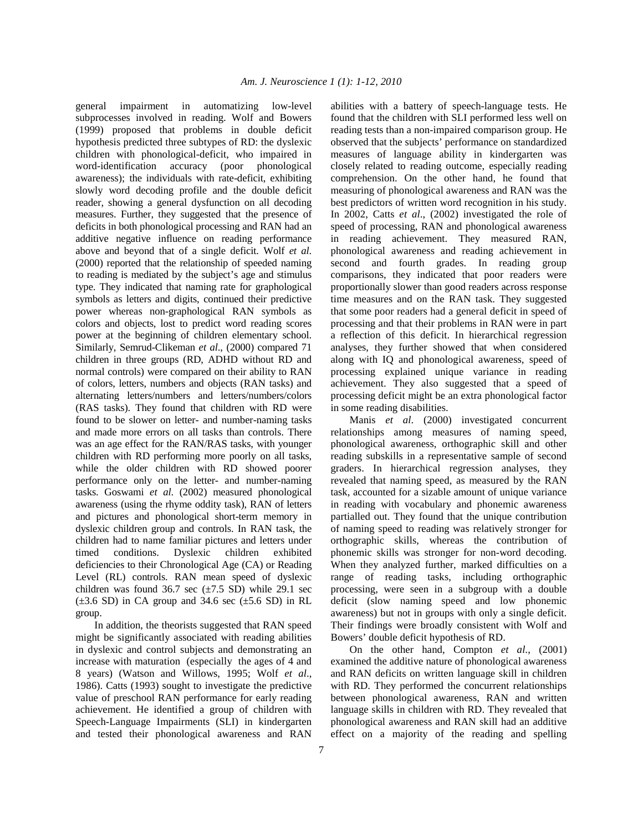general impairment in automatizing low-level subprocesses involved in reading. Wolf and Bowers (1999) proposed that problems in double deficit hypothesis predicted three subtypes of RD: the dyslexic children with phonological-deficit, who impaired in word-identification accuracy (poor phonological awareness); the individuals with rate-deficit, exhibiting slowly word decoding profile and the double deficit reader, showing a general dysfunction on all decoding measures. Further, they suggested that the presence of deficits in both phonological processing and RAN had an additive negative influence on reading performance above and beyond that of a single deficit. Wolf *et al*. (2000) reported that the relationship of speeded naming to reading is mediated by the subject's age and stimulus type. They indicated that naming rate for graphological symbols as letters and digits, continued their predictive power whereas non-graphological RAN symbols as colors and objects, lost to predict word reading scores power at the beginning of children elementary school. Similarly, Semrud-Clikeman *et al*., (2000) compared 71 children in three groups (RD, ADHD without RD and normal controls) were compared on their ability to RAN of colors, letters, numbers and objects (RAN tasks) and alternating letters/numbers and letters/numbers/colors (RAS tasks). They found that children with RD were found to be slower on letter- and number-naming tasks and made more errors on all tasks than controls. There was an age effect for the RAN/RAS tasks, with younger children with RD performing more poorly on all tasks, while the older children with RD showed poorer performance only on the letter- and number-naming tasks. Goswami *et al*. (2002) measured phonological awareness (using the rhyme oddity task), RAN of letters and pictures and phonological short-term memory in dyslexic children group and controls. In RAN task, the children had to name familiar pictures and letters under timed conditions. Dyslexic children exhibited deficiencies to their Chronological Age (CA) or Reading Level (RL) controls. RAN mean speed of dyslexic children was found 36.7 sec  $(\pm 7.5 \text{ SD})$  while 29.1 sec  $(\pm 3.6$  SD) in CA group and 34.6 sec  $(\pm 5.6$  SD) in RL group.

 In addition, the theorists suggested that RAN speed might be significantly associated with reading abilities in dyslexic and control subjects and demonstrating an increase with maturation (especially the ages of 4 and 8 years) (Watson and Willows, 1995; Wolf *et al*., 1986). Catts (1993) sought to investigate the predictive value of preschool RAN performance for early reading achievement. He identified a group of children with Speech-Language Impairments (SLI) in kindergarten and tested their phonological awareness and RAN abilities with a battery of speech-language tests. He found that the children with SLI performed less well on reading tests than a non-impaired comparison group. He observed that the subjects' performance on standardized measures of language ability in kindergarten was closely related to reading outcome, especially reading comprehension. On the other hand, he found that measuring of phonological awareness and RAN was the best predictors of written word recognition in his study. In 2002, Catts *et al*., (2002) investigated the role of speed of processing, RAN and phonological awareness in reading achievement. They measured RAN, phonological awareness and reading achievement in second and fourth grades. In reading group comparisons, they indicated that poor readers were proportionally slower than good readers across response time measures and on the RAN task. They suggested that some poor readers had a general deficit in speed of processing and that their problems in RAN were in part a reflection of this deficit. In hierarchical regression analyses, they further showed that when considered along with IQ and phonological awareness, speed of processing explained unique variance in reading achievement. They also suggested that a speed of processing deficit might be an extra phonological factor in some reading disabilities.

 Manis *et al*. (2000) investigated concurrent relationships among measures of naming speed, phonological awareness, orthographic skill and other reading subskills in a representative sample of second graders. In hierarchical regression analyses, they revealed that naming speed, as measured by the RAN task, accounted for a sizable amount of unique variance in reading with vocabulary and phonemic awareness partialled out. They found that the unique contribution of naming speed to reading was relatively stronger for orthographic skills, whereas the contribution of phonemic skills was stronger for non-word decoding. When they analyzed further, marked difficulties on a range of reading tasks, including orthographic processing, were seen in a subgroup with a double deficit (slow naming speed and low phonemic awareness) but not in groups with only a single deficit. Their findings were broadly consistent with Wolf and Bowers' double deficit hypothesis of RD.

 On the other hand, Compton *et al*., (2001) examined the additive nature of phonological awareness and RAN deficits on written language skill in children with RD. They performed the concurrent relationships between phonological awareness, RAN and written language skills in children with RD. They revealed that phonological awareness and RAN skill had an additive effect on a majority of the reading and spelling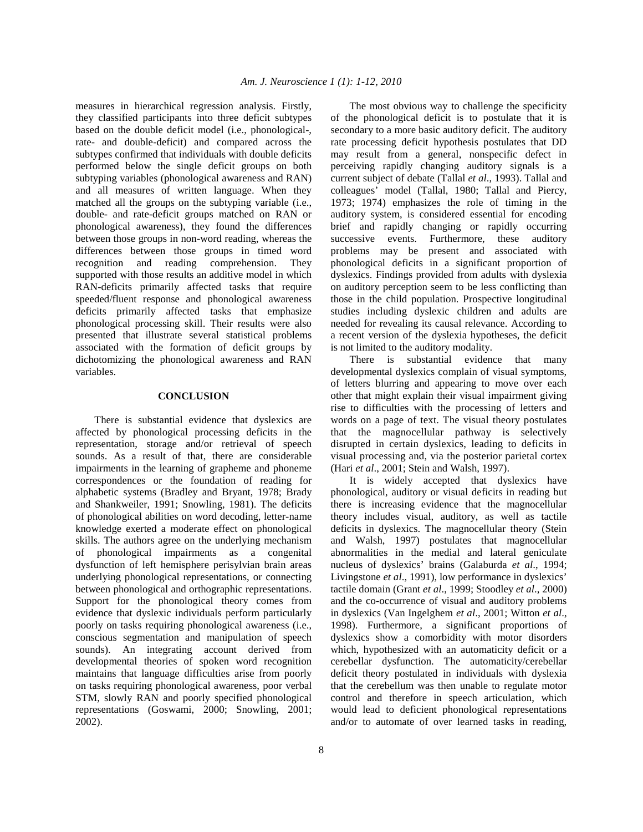measures in hierarchical regression analysis. Firstly, they classified participants into three deficit subtypes based on the double deficit model (i.e., phonological-, rate- and double-deficit) and compared across the subtypes confirmed that individuals with double deficits performed below the single deficit groups on both subtyping variables (phonological awareness and RAN) and all measures of written language. When they matched all the groups on the subtyping variable (i.e., double- and rate-deficit groups matched on RAN or phonological awareness), they found the differences between those groups in non-word reading, whereas the differences between those groups in timed word recognition and reading comprehension. They supported with those results an additive model in which RAN-deficits primarily affected tasks that require speeded/fluent response and phonological awareness deficits primarily affected tasks that emphasize phonological processing skill. Their results were also presented that illustrate several statistical problems associated with the formation of deficit groups by dichotomizing the phonological awareness and RAN variables.

#### **CONCLUSION**

 There is substantial evidence that dyslexics are affected by phonological processing deficits in the representation, storage and/or retrieval of speech sounds. As a result of that, there are considerable impairments in the learning of grapheme and phoneme correspondences or the foundation of reading for alphabetic systems (Bradley and Bryant, 1978; Brady and Shankweiler, 1991; Snowling, 1981). The deficits of phonological abilities on word decoding, letter-name knowledge exerted a moderate effect on phonological skills. The authors agree on the underlying mechanism of phonological impairments as a congenital dysfunction of left hemisphere perisylvian brain areas underlying phonological representations, or connecting between phonological and orthographic representations. Support for the phonological theory comes from evidence that dyslexic individuals perform particularly poorly on tasks requiring phonological awareness (i.e., conscious segmentation and manipulation of speech sounds). An integrating account derived from developmental theories of spoken word recognition maintains that language difficulties arise from poorly on tasks requiring phonological awareness, poor verbal STM, slowly RAN and poorly specified phonological representations (Goswami, 2000; Snowling, 2001; 2002).

 The most obvious way to challenge the specificity of the phonological deficit is to postulate that it is secondary to a more basic auditory deficit. The auditory rate processing deficit hypothesis postulates that DD may result from a general, nonspecific defect in perceiving rapidly changing auditory signals is a current subject of debate (Tallal *et al*., 1993). Tallal and colleagues' model (Tallal, 1980; Tallal and Piercy, 1973; 1974) emphasizes the role of timing in the auditory system, is considered essential for encoding brief and rapidly changing or rapidly occurring successive events. Furthermore, these auditory problems may be present and associated with phonological deficits in a significant proportion of dyslexics. Findings provided from adults with dyslexia on auditory perception seem to be less conflicting than those in the child population. Prospective longitudinal studies including dyslexic children and adults are needed for revealing its causal relevance. According to a recent version of the dyslexia hypotheses, the deficit is not limited to the auditory modality.

 There is substantial evidence that many developmental dyslexics complain of visual symptoms, of letters blurring and appearing to move over each other that might explain their visual impairment giving rise to difficulties with the processing of letters and words on a page of text. The visual theory postulates that the magnocellular pathway is selectively disrupted in certain dyslexics, leading to deficits in visual processing and, via the posterior parietal cortex (Hari *et al*., 2001; Stein and Walsh, 1997).

 It is widely accepted that dyslexics have phonological, auditory or visual deficits in reading but there is increasing evidence that the magnocellular theory includes visual, auditory, as well as tactile deficits in dyslexics. The magnocellular theory (Stein and Walsh, 1997) postulates that magnocellular abnormalities in the medial and lateral geniculate nucleus of dyslexics' brains (Galaburda *et al*., 1994; Livingstone *et al*., 1991), low performance in dyslexics' tactile domain (Grant *et al*., 1999; Stoodley *et al*., 2000) and the co-occurrence of visual and auditory problems in dyslexics (Van Ingelghem *et al*., 2001; Witton *et al*., 1998). Furthermore, a significant proportions of dyslexics show a comorbidity with motor disorders which, hypothesized with an automaticity deficit or a cerebellar dysfunction. The automaticity/cerebellar deficit theory postulated in individuals with dyslexia that the cerebellum was then unable to regulate motor control and therefore in speech articulation, which would lead to deficient phonological representations and/or to automate of over learned tasks in reading,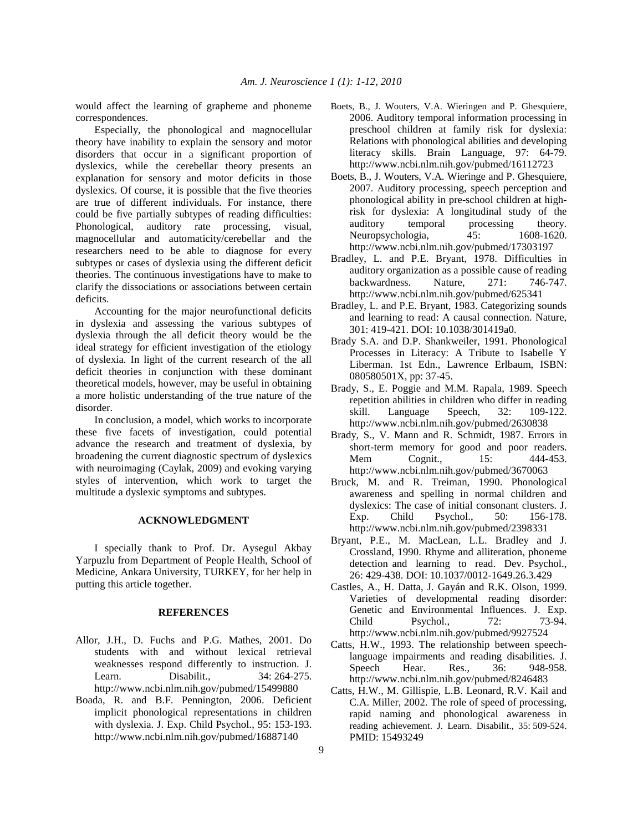would affect the learning of grapheme and phoneme correspondences.

 Especially, the phonological and magnocellular theory have inability to explain the sensory and motor disorders that occur in a significant proportion of dyslexics, while the cerebellar theory presents an explanation for sensory and motor deficits in those dyslexics. Of course, it is possible that the five theories are true of different individuals. For instance, there could be five partially subtypes of reading difficulties: Phonological, auditory rate processing, visual, magnocellular and automaticity/cerebellar and the researchers need to be able to diagnose for every subtypes or cases of dyslexia using the different deficit theories. The continuous investigations have to make to clarify the dissociations or associations between certain deficits.

 Accounting for the major neurofunctional deficits in dyslexia and assessing the various subtypes of dyslexia through the all deficit theory would be the ideal strategy for efficient investigation of the etiology of dyslexia. In light of the current research of the all deficit theories in conjunction with these dominant theoretical models, however, may be useful in obtaining a more holistic understanding of the true nature of the disorder.

 In conclusion, a model, which works to incorporate these five facets of investigation, could potential advance the research and treatment of dyslexia, by broadening the current diagnostic spectrum of dyslexics with neuroimaging (Caylak, 2009) and evoking varying styles of intervention, which work to target the multitude a dyslexic symptoms and subtypes.

## **ACKNOWLEDGMENT**

 I specially thank to Prof. Dr. Aysegul Akbay Yarpuzlu from Department of People Health, School of Medicine, Ankara University, TURKEY, for her help in putting this article together.

## **REFERENCES**

- Allor, J.H., D. Fuchs and P.G. Mathes, 2001. Do students with and without lexical retrieval weaknesses respond differently to instruction. J. Learn. Disabilit., 34: 264-275. http://www.ncbi.nlm.nih.gov/pubmed/15499880
- Boada, R. and B.F. Pennington, 2006. Deficient implicit phonological representations in children with dyslexia. J. Exp. Child Psychol., 95: 153-193. http://www.ncbi.nlm.nih.gov/pubmed/16887140
- Boets, B., J. Wouters, V.A. Wieringen and P. Ghesquiere, 2006. Auditory temporal information processing in preschool children at family risk for dyslexia: Relations with phonological abilities and developing literacy skills. Brain Language, 97: 64-79. http://www.ncbi.nlm.nih.gov/pubmed/16112723
- Boets, B., J. Wouters, V.A. Wieringe and P. Ghesquiere, 2007. Auditory processing, speech perception and phonological ability in pre-school children at highrisk for dyslexia: A longitudinal study of the auditory temporal processing theory. Neuropsychologia,  $45: 1608-1620$ . http://www.ncbi.nlm.nih.gov/pubmed/17303197
- Bradley, L. and P.E. Bryant, 1978. Difficulties in auditory organization as a possible cause of reading backwardness. Nature, 271: 746-747. http://www.ncbi.nlm.nih.gov/pubmed/625341
- Bradley, L. and P.E. Bryant, 1983. Categorizing sounds and learning to read: A causal connection. Nature, 301: 419-421. DOI: 10.1038/301419a0.
- Brady S.A. and D.P. Shankweiler, 1991. Phonological Processes in Literacy: A Tribute to Isabelle Y Liberman. 1st Edn., Lawrence Erlbaum, ISBN: 080580501X, pp: 37-45.
- Brady, S., E. Poggie and M.M. Rapala, 1989. Speech repetition abilities in children who differ in reading skill. Language Speech, 32: 109-122. http://www.ncbi.nlm.nih.gov/pubmed/2630838
- Brady, S., V. Mann and R. Schmidt, 1987. Errors in short-term memory for good and poor readers. Mem Cognit., 15: 444-453. http://www.ncbi.nlm.nih.gov/pubmed/3670063
- Bruck, M. and R. Treiman, 1990. Phonological awareness and spelling in normal children and dyslexics: The case of initial consonant clusters. J. Exp. Child Psychol., 50: 156-178. http://www.ncbi.nlm.nih.gov/pubmed/2398331
- Bryant, P.E., M. MacLean, L.L. Bradley and J. Crossland, 1990. Rhyme and alliteration, phoneme detection and learning to read. Dev. Psychol., 26: 429-438. DOI: 10.1037/0012-1649.26.3.429
- Castles, A., H. Datta, J. Gayán and R.K. Olson, 1999. Varieties of developmental reading disorder: Genetic and Environmental Influences. J. Exp. Child Psychol., 72: 73-94. http://www.ncbi.nlm.nih.gov/pubmed/9927524
- Catts, H.W., 1993. The relationship between speechlanguage impairments and reading disabilities. J. Speech Hear. Res., 36: 948-958. http://www.ncbi.nlm.nih.gov/pubmed/8246483
- Catts, H.W., M. Gillispie, L.B. Leonard, R.V. Kail and C.A. Miller, 2002. The role of speed of processing, rapid naming and phonological awareness in reading achievement. J. Learn. Disabilit., 35: 509-524. PMID: 15493249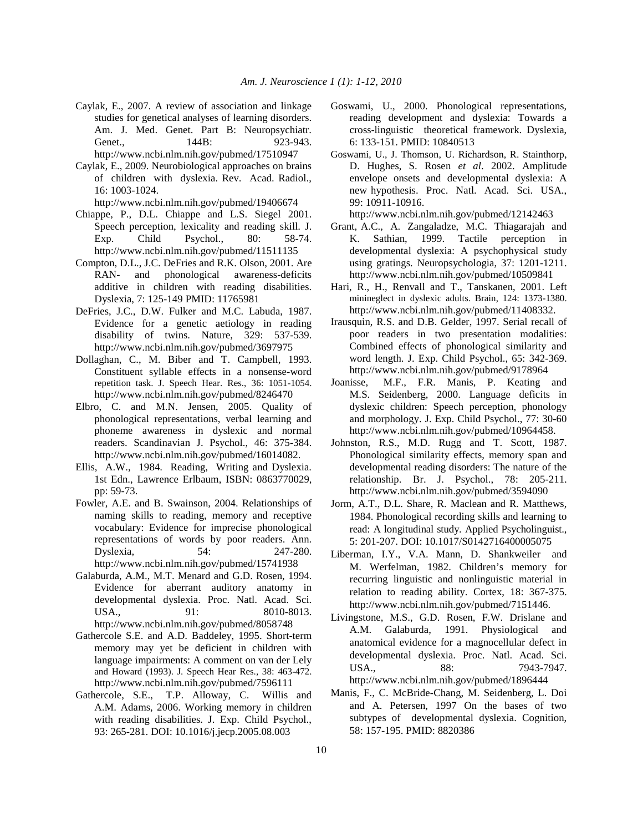- Caylak, E., 2007. A review of association and linkage studies for genetical analyses of learning disorders. Am. J. Med. Genet. Part B: Neuropsychiatr. Genet., 144B: 923-943. http://www.ncbi.nlm.nih.gov/pubmed/17510947
- Caylak, E., 2009. Neurobiological approaches on brains of children with dyslexia. Rev. Acad. Radiol., 16: 1003-1024.

http://www.ncbi.nlm.nih.gov/pubmed/19406674

- Chiappe, P., D.L. Chiappe and L.S. Siegel 2001. Speech perception, lexicality and reading skill. J. Exp. Child Psychol., 80: 58-74. http://www.ncbi.nlm.nih.gov/pubmed/11511135
- Compton, D.L., J.C. DeFries and R.K. Olson, 2001. Are RAN- and phonological awareness-deficits additive in children with reading disabilities. Dyslexia, 7: 125-149 PMID: 11765981
- DeFries, J.C., D.W. Fulker and M.C. Labuda, 1987. Evidence for a genetic aetiology in reading disability of twins. Nature, 329: 537-539. http://www.ncbi.nlm.nih.gov/pubmed/3697975
- Dollaghan, C., M. Biber and T. Campbell, 1993. Constituent syllable effects in a nonsense-word repetition task. J. Speech Hear. Res., 36: 1051-1054. http://www.ncbi.nlm.nih.gov/pubmed/8246470
- Elbro, C. and M.N. Jensen, 2005. Quality of phonological representations, verbal learning and phoneme awareness in dyslexic and normal readers. Scandinavian J. Psychol., 46: 375-384. http://www.ncbi.nlm.nih.gov/pubmed/16014082.
- Ellis, A.W., 1984. Reading, Writing and Dyslexia. 1st Edn., Lawrence Erlbaum, ISBN: 0863770029, pp: 59-73.
- Fowler, A.E. and B. Swainson, 2004. Relationships of naming skills to reading, memory and receptive vocabulary: Evidence for imprecise phonological representations of words by poor readers. Ann. Dyslexia, 54: 247-280. http://www.ncbi.nlm.nih.gov/pubmed/15741938
- Galaburda, A.M., M.T. Menard and G.D. Rosen, 1994. Evidence for aberrant auditory anatomy in developmental dyslexia. Proc. Natl. Acad. Sci. USA., 91: 8010-8013. http://www.ncbi.nlm.nih.gov/pubmed/8058748
- Gathercole S.E. and A.D. Baddeley, 1995. Short-term memory may yet be deficient in children with language impairments: A comment on van der Lely and Howard (1993). J. Speech Hear Res., 38: 463-472. http://www.ncbi.nlm.nih.gov/pubmed/7596111
- Gathercole, S.E., T.P. Alloway, C. Willis and A.M. Adams, 2006. Working memory in children with reading disabilities. J. Exp. Child Psychol., 93: 265-281. DOI: 10.1016/j.jecp.2005.08.003
- Goswami, U., 2000. Phonological representations, reading development and dyslexia: Towards a cross-linguistic theoretical framework. Dyslexia, 6: 133-151. PMID: 10840513
- Goswami, U., J. Thomson, U. Richardson, R. Stainthorp, D. Hughes, S. Rosen *et al*. 2002. Amplitude envelope onsets and developmental dyslexia: A new hypothesis. Proc. Natl. Acad. Sci. USA., 99: 10911-10916.

http://www.ncbi.nlm.nih.gov/pubmed/12142463

- Grant, A.C., A. Zangaladze, M.C. Thiagarajah and K. Sathian, 1999. Tactile perception in developmental dyslexia: A psychophysical study using gratings. Neuropsychologia, 37: 1201-1211. http://www.ncbi.nlm.nih.gov/pubmed/10509841
- Hari, R., H., Renvall and T., Tanskanen, 2001. Left minineglect in dyslexic adults. Brain, 124: 1373-1380. http://www.ncbi.nlm.nih.gov/pubmed/11408332.
- Irausquin, R.S. and D.B. Gelder, 1997. Serial recall of poor readers in two presentation modalities: Combined effects of phonological similarity and word length. J. Exp. Child Psychol., 65: 342-369. http://www.ncbi.nlm.nih.gov/pubmed/9178964
- Joanisse, M.F., F.R. Manis, P. Keating and M.S. Seidenberg, 2000. Language deficits in dyslexic children: Speech perception, phonology and morphology. J. Exp. Child Psychol., 77: 30-60 http://www.ncbi.nlm.nih.gov/pubmed/10964458.
- Johnston, R.S., M.D. Rugg and T. Scott, 1987. Phonological similarity effects, memory span and developmental reading disorders: The nature of the relationship. Br. J. Psychol., 78: 205-211. http://www.ncbi.nlm.nih.gov/pubmed/3594090
- Jorm, A.T., D.L. Share, R. Maclean and R. Matthews, 1984. Phonological recording skills and learning to read: A longitudinal study. Applied Psycholinguist., 5: 201-207. DOI: 10.1017/S0142716400005075
- Liberman, I.Y., V.A. Mann, D. Shankweiler and M. Werfelman, 1982. Children's memory for recurring linguistic and nonlinguistic material in relation to reading ability. Cortex, 18: 367-375. http://www.ncbi.nlm.nih.gov/pubmed/7151446.
- Livingstone, M.S., G.D. Rosen, F.W. Drislane and A.M. Galaburda, 1991. Physiological and anatomical evidence for a magnocellular defect in developmental dyslexia. Proc. Natl. Acad. Sci. USA., 88: 7943-7947. http://www.ncbi.nlm.nih.gov/pubmed/1896444
- Manis, F., C. McBride-Chang, M. Seidenberg, L. Doi and A. Petersen, 1997 On the bases of two subtypes of developmental dyslexia. Cognition, 58: 157-195. PMID: 8820386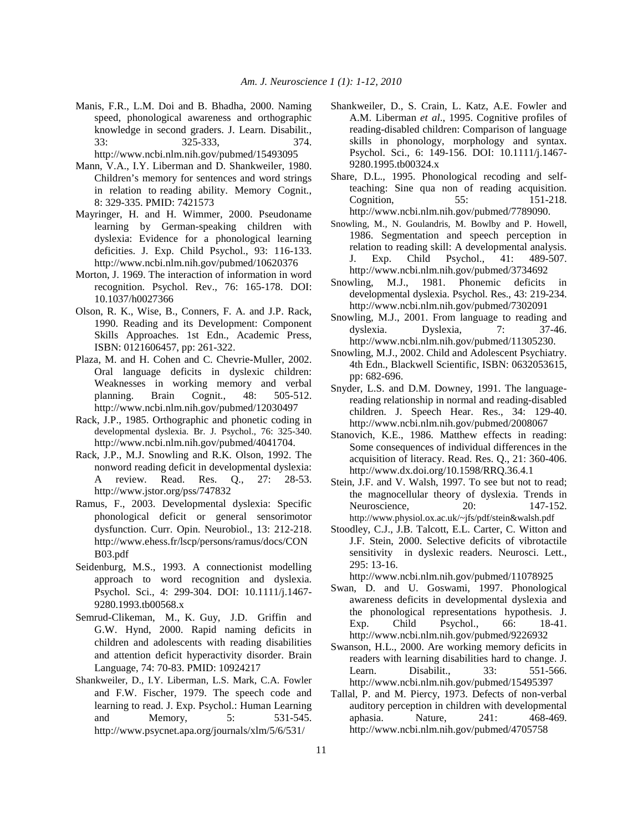- Manis, F.R., L.M. Doi and B. Bhadha, 2000. Naming speed, phonological awareness and orthographic knowledge in second graders. J. Learn. Disabilit., 33: 325-333, 374. http://www.ncbi.nlm.nih.gov/pubmed/15493095
- Mann, V.A., I.Y. Liberman and D. Shankweiler, 1980. Children's memory for sentences and word strings in relation to reading ability. Memory Cognit., 8: 329-335. PMID: 7421573
- Mayringer, H. and H. Wimmer, 2000. Pseudoname learning by German-speaking children with dyslexia: Evidence for a phonological learning deficities. J. Exp. Child Psychol., 93: 116-133. http://www.ncbi.nlm.nih.gov/pubmed/10620376
- Morton, J. 1969. The interaction of information in word recognition. Psychol. Rev., 76: 165-178. DOI: 10.1037/h0027366
- Olson, R. K., Wise, B., Conners, F. A. and J.P. Rack, 1990. Reading and its Development: Component Skills Approaches. 1st Edn., Academic Press, ISBN: 0121606457, pp: 261-322.
- Plaza, M. and H. Cohen and C. Chevrie-Muller, 2002. Oral language deficits in dyslexic children: Weaknesses in working memory and verbal planning. Brain Cognit., 48: 505-512. http://www.ncbi.nlm.nih.gov/pubmed/12030497
- Rack, J.P., 1985. Orthographic and phonetic coding in developmental dyslexia. Br. J. Psychol., 76: 325-340. http://www.ncbi.nlm.nih.gov/pubmed/4041704.
- Rack, J.P., M.J. Snowling and R.K. Olson, 1992. The nonword reading deficit in developmental dyslexia: A review. Read. Res. Q., 27: 28-53. http://www.jstor.org/pss/747832
- Ramus, F., 2003. Developmental dyslexia: Specific phonological deficit or general sensorimotor dysfunction. Curr. Opin. Neurobiol., 13: 212-218. http://www.ehess.fr/lscp/persons/ramus/docs/CON B03.pdf
- Seidenburg, M.S., 1993. A connectionist modelling approach to word recognition and dyslexia. Psychol. Sci., 4: 299-304. DOI: 10.1111/j.1467- 9280.1993.tb00568.x
- Semrud-Clikeman, M., K. Guy, J.D. Griffin and G.W. Hynd, 2000. Rapid naming deficits in children and adolescents with reading disabilities and attention deficit hyperactivity disorder. Brain Language, 74: 70-83. PMID: 10924217
- Shankweiler, D., I.Y. Liberman, L.S. Mark, C.A. Fowler and F.W. Fischer, 1979. The speech code and learning to read. J. Exp. Psychol.: Human Learning and Memory, 5: 531-545. http://www.psycnet.apa.org/journals/xlm/5/6/531/
- Shankweiler, D., S. Crain, L. Katz, A.E. Fowler and A.M. Liberman *et al*., 1995. Cognitive profiles of reading-disabled children: Comparison of language skills in phonology, morphology and syntax. Psychol. Sci., 6: 149-156. DOI: 10.1111/j.1467- 9280.1995.tb00324.x
- Share, D.L., 1995. Phonological recoding and selfteaching: Sine qua non of reading acquisition. Cognition, 55: 151-218. http://www.ncbi.nlm.nih.gov/pubmed/7789090.
- Snowling, M., N. Goulandris, M. Bowlby and P. Howell, 1986. Segmentation and speech perception in relation to reading skill: A developmental analysis. J. Exp. Child Psychol., 41: 489-507. http://www.ncbi.nlm.nih.gov/pubmed/3734692
- Snowling, M.J., 1981. Phonemic deficits in developmental dyslexia. Psychol. Res., 43: 219-234. http://www.ncbi.nlm.nih.gov/pubmed/7302091
- Snowling, M.J., 2001. From language to reading and dyslexia. Dyslexia, 7: 37-46. http://www.ncbi.nlm.nih.gov/pubmed/11305230.
- Snowling, M.J., 2002. Child and Adolescent Psychiatry. 4th Edn., Blackwell Scientific, ISBN: 0632053615, pp: 682-696.
- Snyder, L.S. and D.M. Downey, 1991. The languagereading relationship in normal and reading-disabled children. J. Speech Hear. Res., 34: 129-40. http://www.ncbi.nlm.nih.gov/pubmed/2008067
- Stanovich, K.E., 1986. Matthew effects in reading: Some consequences of individual differences in the acquisition of literacy. Read. Res. Q., 21: 360-406. http://www.dx.doi.org/10.1598/RRQ.36.4.1
- Stein, J.F. and V. Walsh, 1997. To see but not to read; the magnocellular theory of dyslexia. Trends in Neuroscience, 20: 147-152. http://www.physiol.ox.ac.uk/~jfs/pdf/stein&walsh.pdf
- Stoodley, C.J., J.B. Talcott, E.L. Carter, C. Witton and J.F. Stein, 2000. Selective deficits of vibrotactile sensitivity in dyslexic readers. Neurosci. Lett., 295: 13-16.

http://www.ncbi.nlm.nih.gov/pubmed/11078925

- Swan, D. and U. Goswami, 1997. Phonological awareness deficits in developmental dyslexia and the phonological representations hypothesis. J. Exp. Child Psychol., 66: 18-41. http://www.ncbi.nlm.nih.gov/pubmed/9226932
- Swanson, H.L., 2000. Are working memory deficits in readers with learning disabilities hard to change. J. Learn. Disabilit., 33: 551-566. http://www.ncbi.nlm.nih.gov/pubmed/15495397
- Tallal, P. and M. Piercy, 1973. Defects of non-verbal auditory perception in children with developmental aphasia. Nature, 241: 468-469. http://www.ncbi.nlm.nih.gov/pubmed/4705758